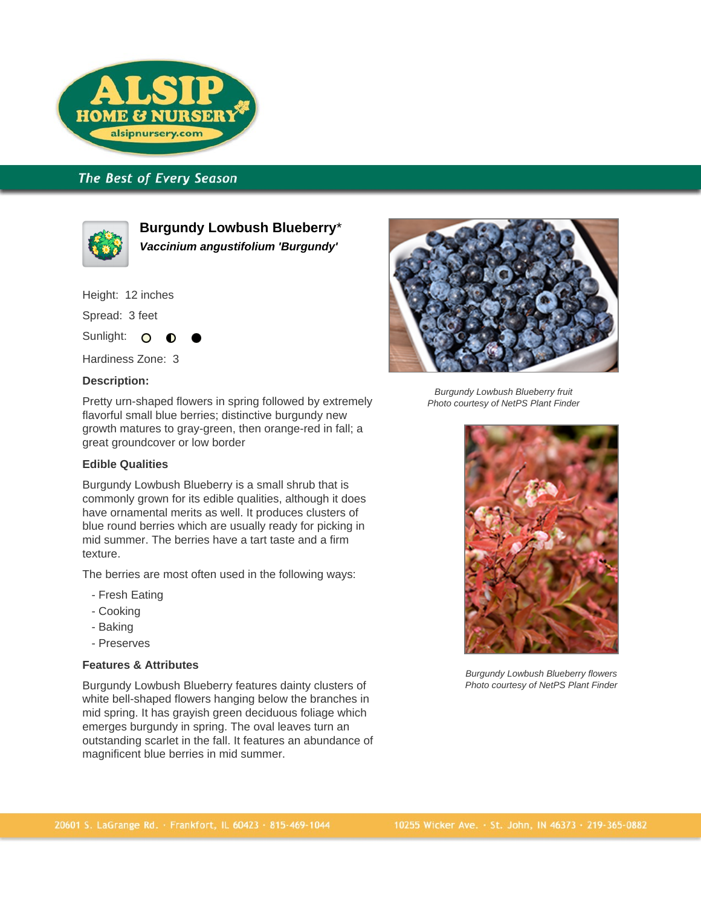

# The Best of Every Season



**Burgundy Lowbush Blueberry**\* **Vaccinium angustifolium 'Burgundy'**

Height: 12 inches

Spread: 3 feet

Sunlight: O

Hardiness Zone: 3

### **Description:**

Pretty urn-shaped flowers in spring followed by extremely flavorful small blue berries; distinctive burgundy new growth matures to gray-green, then orange-red in fall; a great groundcover or low border

### **Edible Qualities**

Burgundy Lowbush Blueberry is a small shrub that is commonly grown for its edible qualities, although it does have ornamental merits as well. It produces clusters of blue round berries which are usually ready for picking in mid summer. The berries have a tart taste and a firm texture.

The berries are most often used in the following ways:

- Fresh Eating
- Cooking
- Baking
- Preserves

## **Features & Attributes**

Burgundy Lowbush Blueberry features dainty clusters of white bell-shaped flowers hanging below the branches in mid spring. It has grayish green deciduous foliage which emerges burgundy in spring. The oval leaves turn an outstanding scarlet in the fall. It features an abundance of magnificent blue berries in mid summer.



Burgundy Lowbush Blueberry fruit Photo courtesy of NetPS Plant Finder



Burgundy Lowbush Blueberry flowers Photo courtesy of NetPS Plant Finder